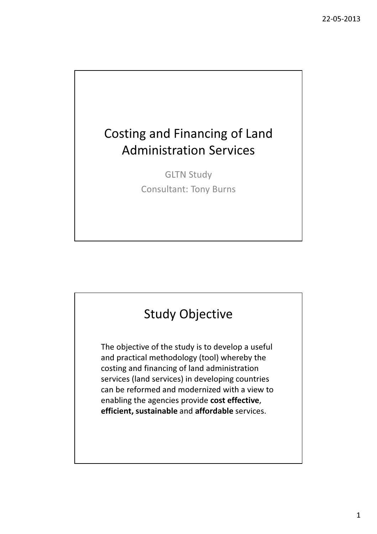# Costing and Financing of Land Administration Services

GLTN Study Consultant: Tony Burns

# Study Objective

The objective of the study is to develop a useful and practical methodology (tool) whereby the costing and financing of land administration services (land services) in developing countries can be reformed and modernized with a view to enabling the agencies provide cost effective, efficient, sustainable and affordable services.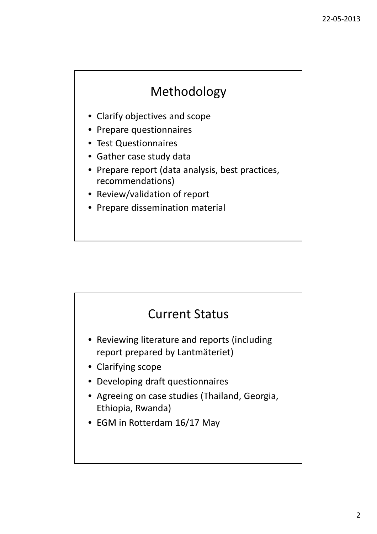## Methodology

- Clarify objectives and scope
- Prepare questionnaires
- Test Questionnaires
- Gather case study data
- Prepare report (data analysis, best practices, recommendations)
- Review/validation of report
- Prepare dissemination material

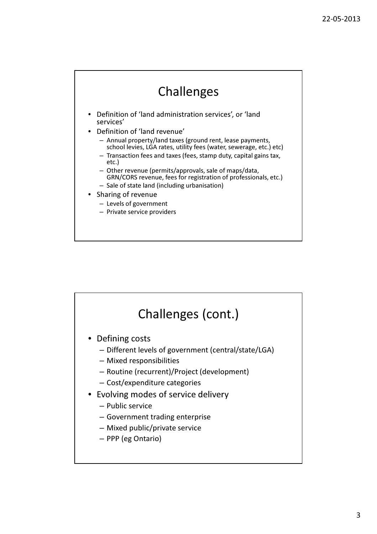## Challenges

- Definition of 'land administration services', or 'land services'
- Definition of 'land revenue'
	- Annual property/land taxes (ground rent, lease payments, school levies, LGA rates, utility fees (water, sewerage, etc.) etc)
	- Transaction fees and taxes (fees, stamp duty, capital gains tax, etc.)
	- Other revenue (permits/approvals, sale of maps/data, GRN/CORS revenue, fees for registration of professionals, etc.)
	- Sale of state land (including urbanisation)

### • Sharing of revenue

- Levels of government
- Private service providers

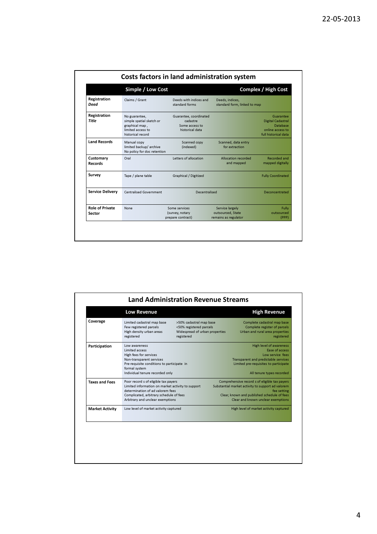|                                  | Simple / Low Cost                                                                                     |                                                                         | <b>Complex / High Cost</b>                                   |                                                                                                      |  |  |
|----------------------------------|-------------------------------------------------------------------------------------------------------|-------------------------------------------------------------------------|--------------------------------------------------------------|------------------------------------------------------------------------------------------------------|--|--|
| Registration<br>Deed             | Claims / Grant                                                                                        | Deeds with indices and<br>standard forms                                | Deeds, indices,<br>standard form, linked to map              |                                                                                                      |  |  |
| Registration<br>Title            | No guarantee,<br>simple spatial sketch or<br>graphical map,<br>limited access to<br>historical record | Guarantee, coordinated<br>cadastre<br>Some access to<br>historical data |                                                              | Guarantee<br><b>Digital Cadastral</b><br><b>Database</b><br>online access to<br>full historical data |  |  |
| <b>Land Records</b>              | Manual copy<br>limited backup/ archive<br>No policy for doc retention                                 | Scanned copy<br>(indexed)                                               | Scanned, data entry<br>for extraction                        |                                                                                                      |  |  |
| Customary<br>Records             | Oral                                                                                                  | Letters of allocation                                                   | Allocation recorded<br>and mapped                            | Recorded and<br>mapped digitally                                                                     |  |  |
| Survey                           | Tape / plane table                                                                                    | Graphical / Digitized                                                   |                                                              | <b>Fully Coordinated</b>                                                                             |  |  |
| <b>Service Delivery</b>          | <b>Centralised Government</b>                                                                         | Decentralised                                                           |                                                              | Deconcentrated                                                                                       |  |  |
| <b>Role of Private</b><br>Sector | None                                                                                                  | Some services<br>(survey, notary<br>prepare contract)                   | Service largely<br>outsourced, State<br>remains as regulator | Fully<br>outsourced<br>(PPP)                                                                         |  |  |

| Coverage               | Limited cadastral map base<br>Few registered parcels | >50% cadastral map base<br><50% registered parcels | Complete cadastral map base<br>Complete register of parcels |  |
|------------------------|------------------------------------------------------|----------------------------------------------------|-------------------------------------------------------------|--|
|                        | High density urban areas                             | Widespread of urban properties                     | Urban and rural area properties                             |  |
|                        | registered                                           | registered                                         | registered                                                  |  |
| Participation          | Low awareness                                        |                                                    | <b>High level of awareness</b>                              |  |
|                        | Limited access                                       |                                                    | Ease of access                                              |  |
|                        | High fees for services                               |                                                    | Low service fees                                            |  |
|                        | Non-transparent services                             | Transparent and predictable services               |                                                             |  |
|                        | Pre-requisite conditions to participate in           |                                                    | Limited pre-requisites to participate                       |  |
|                        | formal system<br>Individual tenure recorded only     |                                                    | All tenure types recorded                                   |  |
| <b>Taxes and Fees</b>  | Poor record s of eligible tax payers                 |                                                    | Comprehensive record s of eligible tax payers               |  |
|                        | Limited information on market activity to support    |                                                    | Substantial market activity to support ad valorem           |  |
|                        | determination of ad valorem fees                     |                                                    | fee setting                                                 |  |
|                        | Complicated, arbitrary schedule of fees              |                                                    | Clear, known and published schedule of fees                 |  |
|                        | Arbitrary and unclear exemptions                     |                                                    | Clear and known unclear exemptions                          |  |
| <b>Market Activity</b> | Low level of market activity captured                |                                                    | High level of market activity captured                      |  |
|                        |                                                      |                                                    |                                                             |  |
|                        |                                                      |                                                    |                                                             |  |
|                        |                                                      |                                                    |                                                             |  |
|                        |                                                      |                                                    |                                                             |  |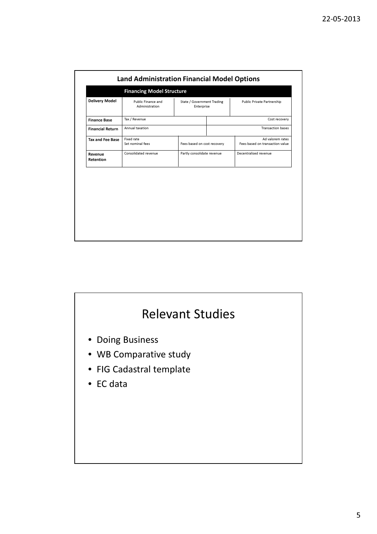|                         | <b>Financing Model Structure</b>     |                                          |                                                     |  |
|-------------------------|--------------------------------------|------------------------------------------|-----------------------------------------------------|--|
| <b>Delivery Model</b>   | Public Finance and<br>Administration | State / Government Trading<br>Enterprise | Public Private Partnership                          |  |
| <b>Finance Base</b>     | Tax / Revenue                        |                                          | Cost recovery                                       |  |
| <b>Financial Return</b> | Annual taxation                      |                                          | <b>Transaction bases</b>                            |  |
| <b>Tax and Fee Base</b> | Fixed rate<br>Set nominal fees       | Fees based on cost recovery              | Ad valorem rates<br>Fees based on transaction value |  |
| Revenue<br>Retention    | Consolidated revenue                 | Partly consolidate revenue               | Decentralised revenue                               |  |
|                         |                                      |                                          |                                                     |  |

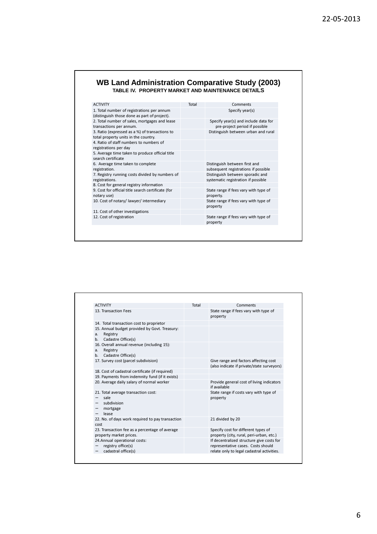### **WB Land Administration Comparative Study (2003) TABLE IV. PROPERTY MARKET AND MAINTENANCE DETAILS**

| <b>ACTIVITY</b>                                                                            | Total | Comments                                                                |
|--------------------------------------------------------------------------------------------|-------|-------------------------------------------------------------------------|
| 1. Total number of registrations per annum<br>(distinguish those done as part of project). |       | Specify year(s)                                                         |
| 2. Total number of sales, mortgages and lease<br>transactions per annum.                   |       | Specify year(s) and include data for<br>pre-project period if possible  |
| 3. Ratio (expressed as a %) of transactions to<br>total property units in the country.     |       | Distinguish between urban and rural                                     |
| 4. Ratio of staff numbers to numbers of<br>registrations per day                           |       |                                                                         |
| 5. Average time taken to produce official title<br>search certificate                      |       |                                                                         |
| 6. Average time taken to complete<br>registration.                                         |       | Distinguish between first and<br>subsequent registrations if possible   |
| 7. Registry running costs divided by numbers of<br>registrations.                          |       | Distinguish between sporadic and<br>systematic registration if possible |
| 8. Cost for general registry information                                                   |       |                                                                         |
| 9. Cost for official title search certificate (for<br>notary use)                          |       | State range if fees vary with type of<br>property.                      |
| 10. Cost of notary/lawyer/intermediary                                                     |       | State range if fees vary with type of<br>property                       |
| 11. Cost of other investigations                                                           |       |                                                                         |
| 12. Cost of registration                                                                   |       | State range if fees vary with type of<br>property                       |

| <b>ACTIVITY</b>                                                                                             | Total | Comments                                                                                                                      |
|-------------------------------------------------------------------------------------------------------------|-------|-------------------------------------------------------------------------------------------------------------------------------|
| 13. Transaction Fees                                                                                        |       | State range if fees vary with type of<br>property                                                                             |
| 14. Total transaction cost to proprietor                                                                    |       |                                                                                                                               |
| 15. Annual budget provided by Govt. Treasury:<br>Registry<br>a.<br>Cadastre Office(s)<br>h <sub>1</sub>     |       |                                                                                                                               |
| 16. Overall annual revenue (including 15):<br>Registry<br>a.<br>Cadastre Office(s)<br>h <sub>1</sub>        |       |                                                                                                                               |
| 17. Survey cost (parcel subdivision)                                                                        |       | Give range and factors affecting cost<br>(also indicate if private/state surveyors)                                           |
| 18. Cost of cadastral certificate (if required)                                                             |       |                                                                                                                               |
| 19. Payments from indemnity fund (if it exists)                                                             |       |                                                                                                                               |
| 20. Average daily salary of normal worker                                                                   |       | Provide general cost of living indicators<br>if available                                                                     |
| 21. Total average transaction cost:<br>sale<br>subdivision<br>$\overline{\phantom{0}}$<br>mortgage<br>lease |       | State range if costs vary with type of<br>property                                                                            |
| 22. No. of days work required to pay transaction<br>cost                                                    |       | 21 divided by 20                                                                                                              |
| 23. Transaction fee as a percentage of average<br>property market prices.                                   |       | Specify cost for different types of<br>property (city, rural, peri-urban, etc.)                                               |
| 24. Annual operational costs:<br>registry office(s)<br>cadastral office(s)                                  |       | If decentralized structure give costs for<br>representative cases. Costs should<br>relate only to legal cadastral activities. |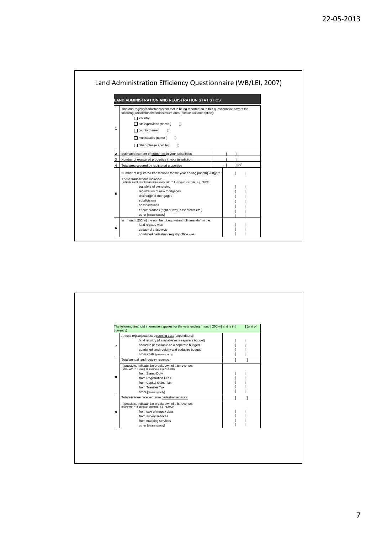

|                | The following financial information applies for the year ending [month] 200[yr] and is in [                | I (unit of |
|----------------|------------------------------------------------------------------------------------------------------------|------------|
|                | currency)<br>Annual registry/cadastre running cost (expenditure):                                          |            |
|                | -land registry (if available as a separate budget)                                                         |            |
| $\overline{7}$ | - cadastre (if available as a separate budget)                                                             |            |
|                | - combined land registry and cadastre budget                                                               |            |
|                | - other costs [please specify]                                                                             |            |
|                | Total annual land registry revenue:                                                                        |            |
|                | If possible, indicate the breakdown of this revenue:<br>(Mark with "" if using an estimate, e.g. *12,000)  |            |
|                | - from Stamp Duty                                                                                          |            |
| 8              | - from Registration Fees                                                                                   |            |
|                | - from Capital Gains Tax                                                                                   |            |
|                | - from Transfer Tax                                                                                        |            |
|                | - other [please specify]                                                                                   |            |
|                | Total revenue received from cadastral services:                                                            |            |
|                | If possible, indicate the breakdown of this revenue:<br>(Mark with "*' if using an estimate, e.g. *12,000) |            |
| 9              | - from sale of maps / data                                                                                 |            |
|                | - from survey services                                                                                     |            |
|                | - from mapping services                                                                                    |            |
|                | - other [please specify]                                                                                   |            |

#### 7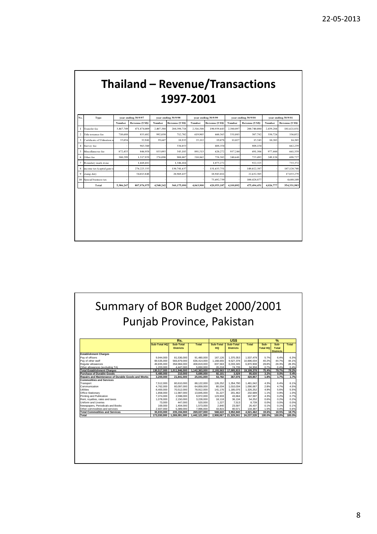### Thailand – Revenue/Transactions 1997-2001

|                         |                               | year ending 30/9/97 |                | year ending 30/9/98 |                | year ending 30/9/99 |                | year ending 30/9/00 |                |                     |                |
|-------------------------|-------------------------------|---------------------|----------------|---------------------|----------------|---------------------|----------------|---------------------|----------------|---------------------|----------------|
| No.                     | Type                          |                     |                |                     |                |                     |                |                     |                | year ending 30/9/01 |                |
|                         |                               | Number              | Revenue (US\$) | Number              | Revenue (US\$) | Number              | Revenue (US\$) | Number              | Revenue (US\$) | Number              | Revenue (US\$) |
| 1                       | Transfer fee                  | 3.467.749           | 471,874,009    | 2.407.380           | 204,398,718    | 2.316.508           | 190.939.643    | 2.380.897           | 200,740,080    | 2,439,284           | 181.621.831    |
| $\overline{\mathbf{c}}$ | Title issuance fee            | 710,688             | 833.682        | 992.030             | 712,702        | 619.905             | 660,565        | 531.083             | 507.782        | 350,726             | 336,052        |
| $\overline{\mathbf{3}}$ | Certificate of Utilisation is | 35,056              | 32.941         | 39.647              | 18,935         | 25,112              | 19.078         | 11,027              | 15,543         | 10,203              | 16,205         |
| $\overline{4}$          | Survey fee                    |                     | 963,560        |                     | 536,053        |                     | 608,354        |                     | 808,154        |                     | 662,259        |
| 5                       | Miscellaneous fee             | 872,455             | 846,958        | 833.095             | 543,185        | 891,513             | 620,272        | 937.244             | 691,306        | 977,444             | 661,359        |
| 6                       | Other fee                     | 300.299             | 1,517,959      | 276,090             | 908,007        | 210,862             | 758,502        | 240,641             | 725,492        | 249,120             | 698,727        |
| 7                       | Boundary mark stone           |                     | 1.668.682      |                     | 1.346.416      |                     | 1.075.272      |                     | 922.325        |                     | 733,372        |
| 8                       | income tax (capital gain ta   |                     | 276.225.335    |                     | 130.741.637    |                     | 131.635.751    |                     | 148.022.387    |                     | 147,120,748    |
| $\mathbf{Q}$            | stamp duty                    |                     | 54,013,848     |                     | 20.969.437     |                     | 18.943.011     |                     | 22.632.505     |                     | 17.833.279     |
| 10                      | Special business tax          |                     |                |                     |                |                     | 75.692.739     |                     | 100.428.877    |                     | 4.648.149      |
|                         | Total                         | 5,386,247           | 807,976,975    | 4,548,242           | 360,175,090    | 4,063,900           | 420,953,187    | 4.100.892           | 475,494,451    | 4.026.777           | 354,331,983    |
|                         |                               |                     |                |                     |                |                     |                |                     |                |                     |                |
|                         |                               |                     |                |                     |                |                     |                |                     |                |                     |                |
|                         |                               |                     |                |                     |                |                     |                |                     |                |                     |                |
|                         |                               |                     |                |                     |                |                     |                |                     |                |                     |                |
|                         |                               |                     |                |                     |                |                     |                |                     |                |                     |                |
|                         |                               |                     |                |                     |                |                     |                |                     |                |                     |                |
|                         |                               |                     |                |                     |                |                     |                |                     |                |                     |                |
|                         |                               |                     |                |                     |                |                     |                |                     |                |                     |                |
|                         |                               |                     |                |                     |                |                     |                |                     |                |                     |                |
|                         |                               |                     |                |                     |                |                     |                |                     |                |                     |                |
|                         |                               |                     |                |                     |                |                     |                |                     |                |                     |                |

Summary of BOR Budget 2000/2001 Punjab Province, Pakistan **Sub-Total HQ Sub-Total Districts Total Sub-Total HQ Sub-Total Districts Total Sub-Total HQ Sub-Total Districts Total Establishment Ch**<br>Pay of officers<br>Pay of other staff<br>Regular allowances Pay of officers 9,944,000 81,536,000 91,480,000 167,126 1,370,353 1,537,479 5.7% 6.4% 6.3% Pay of other staff 69,535,000 566,879,000 636,414,000 1,168,655 9,527,378 10,696,034 40.2% 44.7% 44.1% Regular allowances 49,835,000 358,984,000 408,819,000 837,563 6,033,345 6,870,908 28.8% 28.3% 28.3% Other allowances (excluding TA) 1,203,000 4,447,000 5,650,000 20,218 74,739 94,958 0.7% 0.4% 0.4% **Total Establishment Charges 130,517,000 1,011,846,000 1,142,363,000 2,193,563 17,005,815 19,199,378 75.4% 79.7% 79.2% Purchase of Durable Goods 5,480,000 210,000 5,690,000 92,101 3,529 95,630 3.2% 0.0% 0.4% Repairs and Maintenance of Durable Goods and Works 3,200,000 21,841,000 25,041,000 53,782 367,076 420,857 1.8% 1.7% 1.7% Commodities and Services** Transport 7,512,000 80,610,000 88,122,000 126,252 1,354,790 1,481,042 4.3% 6.4% 6.1% Communication 4,762,000 60,097,000 64,859,000 80,034 1,010,034 1,090,067 2.8% 4.7% 4.5% Utilities 8,400,000 70,512,000 78,912,000 141,176 1,185,076 1,326,252 4.9% 5.6% 5.5% Office Stationary 1,858,000 11,987,000 13,845,000 31,227 201,462 232,689 1.1% 0.9% 1.0% 2 Printing and Publication 7,374,000 2,598,000 9,972,000 123,933 43,664 167,597 4.3% 0.2% 0.2% 0.2% 0.2% 0.2%<br>2.178,000 2,150,000 2,150,000 18,1228,000 18,118 36,134 54,252 0.6% 0.2% 0.2% Uniform and Liveries 73,000 447,000 520,000 1,227 7,513 8,739 0.0% 0.0% 0.0% Newspapers, Periodicals and Books 169,000 1,404,000 1,573,000 2,840 23,597 26,437 0.1% 0.1% 0.1% Other commodities and services 2,607,000 5,389,000 7,996,000 43,815 90,571 134,387 1.5% 0.4% 0.6% **Total Commodities and Services 33,833,000 235,194,000 269,027,000 568,622 3,952,840 4,521,462 19.6% 18.5% 18.7% Total 173,030,000 1,269,091,000 1,442,121,000 2,908,067 21,329,261 24,237,328 100.0% 100.0% 100.0% Rs. US\$ %**